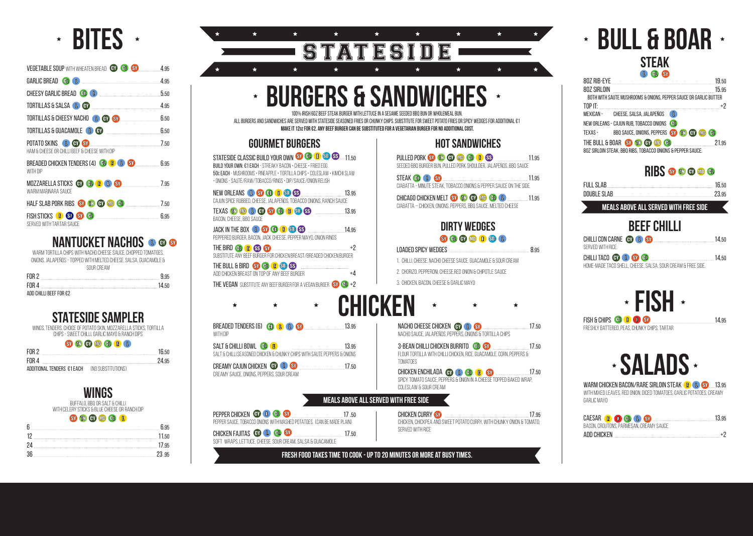#### **meals above all served with free side**

## **BULL & BOAR STEAK**

| 80Z SIRLOIN                                                       |  |
|-------------------------------------------------------------------|--|
| BOTH WITH SAUTE MUSHROOMS & ONIONS, PEPPER SAUCE OR GARLIC BUTTER |  |
|                                                                   |  |
| MEXICAN - CHEESE, SALSA, JALAPEÑOS L                              |  |
| NEW ORLEANS - CAJUN RUB, TOBACCO ONIONS (BL)                      |  |
| TEXAS - BBQ SAUCE, ONIONS, PEPPERS SY TO CO OD CO                 |  |
| THE BULL & BOAR 30 00 00 00 00 00 100 100 21.95                   |  |
| 80Z SIRLOIN STEAK, BBQ RIBS, TOBACCO ONIONS & PEPPER SAUCE.       |  |

### **RIBS <b>r r e r e**

PULLED PORK SO TO GO GO GO GS 2000 11.95 seeded BBQ burger bun, pulled pork shoulder, jalapeños, BBQ sauce

| <b>FULL SLAB</b>             | 16.50 |
|------------------------------|-------|
| <b>DOUBLE SLAB.</b><br>23.95 |       |

CHICAGO CHICKEN MELT SO **100 GD 60 GD 1** 11.95 ciabatta – chicken, onions, peppers, BBQ Sauce, melted cheese

#### **DIRTY WEDGES** SV H H H H H SD 1

#### LOADED SPICY WEDGES 8.95

## **BEEF CHILLI**

| CHILLI CON CARNE <b>GD (D) SD Example 20 and 214.50</b>      |  |
|--------------------------------------------------------------|--|
| SERVED WITH RICE.                                            |  |
| CHILLI TACO <b>GD (L) SV (EL) GD (L)</b> (SV (EL) <b>EL</b>  |  |
| HOME-MADE TACO SHELL, CHEESE, SALSA, SOUR CREAM & FREE SIDE. |  |

### **HOT SANDWICHES**

PEPPER CHICKEN CO **C C C ST** ST 17 .50 pepper sauce, tobacco onions WITH MASHED POTATOES. (can be made plain)

CHICKEN FAJITAS **60 1 60 SV 17.50** 

Salt & Chilli seasoned chicken & chunky chips With Saute Peppers & Onions CREAMY CAJUN CHICKEN CONCLESSION CONTROL 17.50 STEAK 11.95 CiabatTa - minute steak, TOBACCO onions & pepper sauce on the side.

STATESIDE CLASSIC BUILD YOUR OWN SO CD CD SD SD.....11.50 build your own: €1 each - Streaky Bacon • Cheese • Fried Egg 50c each - mushrooms • Pineapple • tortilla chips • coleslaw • kimchi slaw • Onions - Sauté/Raw/Tobacco/Rings • Dip/Sauce/Onion Relish

NEW ORLEANS **13.95** 33.95 cajun spice rubbed, cheese, jalapeños, tobacco onions, ranch sauce

TEXAS 13.95 bacon, cheese, BBQ sauce

- 1. CHILLI, CHEESE, NACHO CHEESE SAUCE, GUACAMOLE & SOUR CREAM
- 2. CHORIZO, PEPPERONI, CHEESE,RED ONION & CHIPOTLE SAUCE
- 3. CHICKEN, BACON, CHEESE & GARLIC MAYO

JACK IN THE BOX  $\bullet$  **SV**  $\bullet$  $\bullet$   $\bullet$   $\bullet$  **SV** peppered burger, bacon, JACK cheese, PEPPER MAYO, ONION RINGS

THE BIRD  $\bigoplus$   $\bigoplus$   $\bigotimes$   $\bigotimes$   $\bigotimes$   $\cdots$ SUBSTITUTE ANY BEEF BURGER FOR CHICKEN BREAST/BREADED CHICKEN BURGER

THE BULL & BIRD SY CD CB SO SS ADD CHICKEN BREAST ON TOP OF ANY BEEF BURGER  $+4$ THE VEGAN SUBSTITUTE ANY BEEF BURGER FOR A VEGAN BURGER STOR +2



FISH & CHIPS **CLI & C ST** 37 14.95

freshly battered, peas, chunky chips, tartar

### **BITES**  $\star$

soft wraps, lettuce, cheese, sour cream, salsa & guacamole

creamy sauce, onions, peppers, sour cream

### **GOURMET BURGERS**

 $\star$ 

NACHO CHEESE CHICKEN **ON LEAST CHICKEN** 17.50 nacho sauce, jalapeños, peppers, onions & tortilla chips

3-BEAN CHILLI CHICKEN BURRITO **60 SV** 17.50 Flour Tortilla with Chilli Chicken, Rice, GuacAmole, Corn, Peppers & **TOMATOES** 

> WARM CHICKEN BACON/RARE SIRLOIN STEAK **13.95 CD SY** .... 13.95 WITH mixed leaves, red onion, DICED tomatoes, garlic potatoes, creamy garlic mayo

CHICKEN CURRY SY 2008 2009 17.95 Chicken, Chickpea and Sweet Potato Curry, with chunky onion & tomato, served with rice

## **BREADED TENDERS (6) 80 8 13.95 CHICKEN**

WITH DIP SALT & CHILLI BOWL CONCRETE THE SALT AND 13.95

| VEGETABLE SOUP WITH WHEATEN BREAD GY GU SY 4.95                              |      |
|------------------------------------------------------------------------------|------|
|                                                                              |      |
| CHEESY GARLIC BREAD CO <b>CO CO</b>                                          | 5.50 |
| TORTILLAS & SALSA <b>&amp; GD</b>                                            | 4.95 |
| TORTILLAS & CHEESY NACHO <b>O GY SY</b> 30 600 650                           |      |
| TORTILLAS & GUACAMOLE <b>&amp; GV</b>                                        | 6.50 |
| POTATO SKINS <b>LEGY SV</b><br>HAM & CHEESE OR CHILLI BEEF & CHEESE WITH DIP |      |
| BREADED CHICKEN TENDERS (4) CO CO ST<br>WITH DIP                             |      |
| MOZZARELLA STICKS <b>GD GD GB CD SD</b> 30 7.95<br>WARM MARINARA SAUCE       |      |
| HALF SLAB PORK RIBS STO <b>TO GD (TD) GD</b> (TD) 350                        |      |
| FISH STICKS <b>B</b> SD SY CD<br>SERVED WITH TARTAR SAUCE                    |      |

### **NANTUCKET NACHOS OGG**

| WARM TORTILLA CHIPS WITH NACHO CHEESE SAUCE, CHOPPED TOMATOES,    |  |
|-------------------------------------------------------------------|--|
| ONIONS, JALAPEÑOS - TOPPED WITH MELTED CHEESE, SALSA, GUACAMOLE & |  |
| SOLIR CREAM                                                       |  |
| FOR 2<br><b>9 q5</b>                                              |  |
| FOR 4<br>14 50                                                    |  |

add chilli beef for €2

## **STATESIDE SAMPLER**

wings, tenders, choice of potato skin, mozzarella sticks, tortilla chips - sweet chilli, garlic mayo & ranch dips

| SY THE GROUND GROUP |  |  |  |  |
|---------------------|--|--|--|--|
|                     |  |  |  |  |

| FOR 2                                                | 16.50 |  |
|------------------------------------------------------|-------|--|
| FOR 4                                                | 24.95 |  |
| <b>ADDITIONAL TENDERS €1 EACH (NO SUBSTITUTIONS)</b> |       |  |

## **WINGS**

Buffalo, BBQ or SALT & CHILLI with celery sticks & blue cheese or ranch dip

#### SY THEY ON OU C

| 95    |
|-------|
| - 23- |

#### $\star$  $\star$  $\star$  $\star$  $\star$  $\star$ STATESIDE  $\star$  $\star$  $\star$  $\leftarrow$

CHICKEN ENCHILADA 17.50 spicy tomato sauce, peppers & onion in a cheese topped baked wrap, coleslaw & sour cream

## **SALADS**

|             |                                         | CAESAR C C C C C S SV <b>EXERUTE SERVICE SOLUTION</b> 13.95 |
|-------------|-----------------------------------------|-------------------------------------------------------------|
|             | BACON, CROUTONS, PARMESAN, CREAMY SAUCE |                                                             |
| ADD CHICKEN |                                         |                                                             |

## **BURGERS & SANDWICHES**

100% Irish 6oz Beef Steak burger with lettuce in a sesame seeded BBQ bun or wholemeal bun.

All burgers and sandwiches are Served with Stateside seasoned fries or chunky chips. Substitute for sweet potato fries or spicy wedges for additional €1 **MAKE IT 12OZ FOR €2. any beef burger can be substituted for a vegetarian burger for no additional cost.**

### **meals above all served with free side**

#### **Fresh Food takes time to cook - up to 20 minutes or more at busy times.**